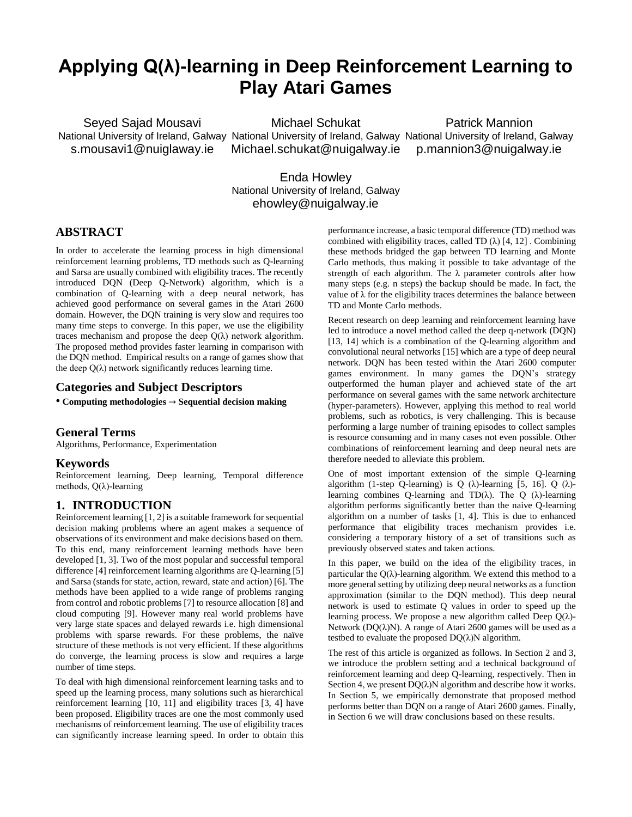# **Applying Q(λ)-learning in Deep Reinforcement Learning to Play Atari Games**

Seyed Sajad Mousavi s.mousavi1@nuiglaway.ie

National University of Ireland, Galway National University of Ireland, Galway National University of Ireland, Galway Michael Schukat [Michael.schukat@nuigalway.ie](mailto:Michael.schukat@nuigalway.ie)

Patrick Mannion p.mannion3@nuigalway.ie

Enda Howley National University of Ireland, Galway [ehowley@nuigalway.ie](mailto:ehowley@nuigalway.ie)

## **ABSTRACT**

In order to accelerate the learning process in high dimensional reinforcement learning problems, TD methods such as Q-learning and Sarsa are usually combined with eligibility traces. The recently introduced DQN (Deep Q-Network) algorithm, which is a combination of Q-learning with a deep neural network, has achieved good performance on several games in the Atari 2600 domain. However, the DQN training is very slow and requires too many time steps to converge. In this paper, we use the eligibility traces mechanism and propose the deep  $Q(\lambda)$  network algorithm. The proposed method provides faster learning in comparison with the DQN method. Empirical results on a range of games show that the deep  $Q(\lambda)$  network significantly reduces learning time.

## **Categories and Subject Descriptors**

• **Computing methodologies** → **Sequential decision making**

#### **General Terms**

Algorithms, Performance, Experimentation

#### **Keywords**

Reinforcement learning, Deep learning, Temporal difference methods, Q(λ)-learning

## **1. INTRODUCTION**

Reinforcement learning [1, 2] is a suitable framework for sequential decision making problems where an agent makes a sequence of observations of its environment and make decisions based on them. To this end, many reinforcement learning methods have been developed [1, 3]. Two of the most popular and successful temporal difference [4] reinforcement learning algorithms are Q-learning [5] and Sarsa (stands for state, action, reward, state and action) [6]. The methods have been applied to a wide range of problems ranging from control and robotic problems [7] to resource allocation [8] and cloud computing [9]. However many real world problems have very large state spaces and delayed rewards i.e. high dimensional problems with sparse rewards. For these problems, the naïve structure of these methods is not very efficient. If these algorithms do converge, the learning process is slow and requires a large number of time steps.

To deal with high dimensional reinforcement learning tasks and to speed up the learning process, many solutions such as hierarchical reinforcement learning [10, 11] and eligibility traces [3, 4] have been proposed. Eligibility traces are one the most commonly used mechanisms of reinforcement learning. The use of eligibility traces can significantly increase learning speed. In order to obtain this performance increase, a basic temporal difference (TD) method was combined with eligibility traces, called TD  $(\lambda)$  [4, 12]. Combining these methods bridged the gap between TD learning and Monte Carlo methods, thus making it possible to take advantage of the strength of each algorithm. The λ parameter controls after how many steps (e.g. n steps) the backup should be made. In fact, the value of λ for the eligibility traces determines the balance between TD and Monte Carlo methods.

Recent research on deep learning and reinforcement learning have led to introduce a novel method called the deep q-network (DQN) [13, 14] which is a combination of the Q-learning algorithm and convolutional neural networks [15] which are a type of deep neural network. DQN has been tested within the Atari 2600 computer games environment. In many games the DQN's strategy outperformed the human player and achieved state of the art performance on several games with the same network architecture (hyper-parameters). However, applying this method to real world problems, such as robotics, is very challenging. This is because performing a large number of training episodes to collect samples is resource consuming and in many cases not even possible. Other combinations of reinforcement learning and deep neural nets are therefore needed to alleviate this problem.

One of most important extension of the simple Q-learning algorithm (1-step Q-learning) is Q ( $\lambda$ )-learning [5, 16]. Q ( $\lambda$ )learning combines Q-learning and TD( $\lambda$ ). The Q ( $\lambda$ )-learning algorithm performs significantly better than the naive Q-learning algorithm on a number of tasks [1, 4]. This is due to enhanced performance that eligibility traces mechanism provides i.e. considering a temporary history of a set of transitions such as previously observed states and taken actions.

In this paper, we build on the idea of the eligibility traces, in particular the  $Q(\lambda)$ -learning algorithm. We extend this method to a more general setting by utilizing deep neural networks as a function approximation (similar to the DQN method). This deep neural network is used to estimate Q values in order to speed up the learning process. We propose a new algorithm called Deep  $Q(\lambda)$ -Network ( $DQ(\lambda)N$ ). A range of Atari 2600 games will be used as a testbed to evaluate the proposed  $DO(\lambda)N$  algorithm.

The rest of this article is organized as follows. In Section 2 and 3, we introduce the problem setting and a technical background of reinforcement learning and deep Q-learning, respectively. Then in Section 4, we present  $DQ(\lambda)N$  algorithm and describe how it works. In Section 5, we empirically demonstrate that proposed method performs better than DQN on a range of Atari 2600 games. Finally, in Section 6 we will draw conclusions based on these results.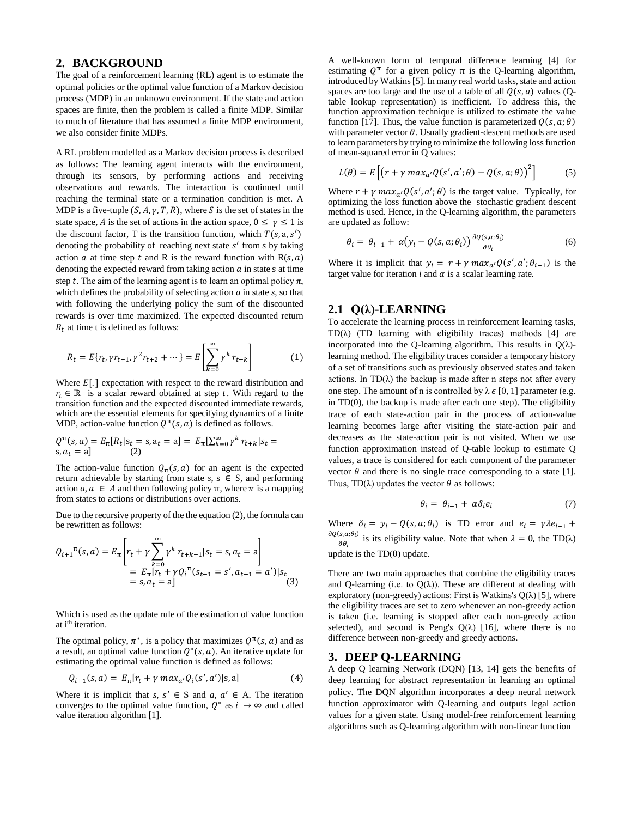#### **2. BACKGROUND**

The goal of a reinforcement learning (RL) agent is to estimate the optimal policies or the optimal value function of a Markov decision process (MDP) in an unknown environment. If the state and action spaces are finite, then the problem is called a finite MDP. Similar to much of literature that has assumed a finite MDP environment, we also consider finite MDPs.

A RL problem modelled as a Markov decision process is described as follows: The learning agent interacts with the environment, through its sensors, by performing actions and receiving observations and rewards. The interaction is continued until reaching the terminal state or a termination condition is met. A MDP is a five-tuple  $(S, A, \gamma, T, R)$ , where S is the set of states in the state space, A is the set of actions in the action space,  $0 \le \gamma \le 1$  is the discount factor, T is the transition function, which  $T(s, a, s')$ denoting the probability of reaching next state s' from s by taking action  $\alpha$  at time step  $t$  and R is the reward function with  $R(s, \alpha)$ denoting the expected reward from taking action  $\alpha$  in state s at time step t. The aim of the learning agent is to learn an optimal policy  $\pi$ , which defines the probability of selecting action *a* in state *s*, so that with following the underlying policy the sum of the discounted rewards is over time maximized. The expected discounted return  $R_t$  at time t is defined as follows:

$$
R_t = E\{r_t, \gamma r_{t+1}, \gamma^2 r_{t+2} + \dots\} = E\left[\sum_{k=0}^{\infty} \gamma^k r_{t+k}\right]
$$
 (1)

Where  $E$ [.] expectation with respect to the reward distribution and  $r_t \in \mathbb{R}$  is a scalar reward obtained at step t. With regard to the transition function and the expected discounted immediate rewards, which are the essential elements for specifying dynamics of a finite MDP, action-value function  $Q^{\pi}(s, a)$  is defined as follows.

$$
Q^{\pi}(s, a) = E_{\pi}[R_t | s_t = s, a_t = a] = E_{\pi}[\sum_{k=0}^{\infty} \gamma^k r_{t+k} | s_t = s, a_t = a]
$$
 (2)

The action-value function  $Q_{\pi}(s, a)$  for an agent is the expected return achievable by starting from state  $s, s \in S$ , and performing action *a*,  $\alpha \in A$  and then following policy π, where π is a mapping from states to actions or distributions over actions.

Due to the recursive property of the the equation (2), the formula can be rewritten as follows:

$$
Q_{i+1}^{\pi}(s, a) = E_{\pi} \left[ r_t + \gamma \sum_{k=0}^{\infty} \gamma^k r_{t+k+1} | s_t = s, a_t = a \right]
$$
  
=  $E_{\pi} [r_t + \gamma Q_i^{\pi} (s_{t+1} = s', a_{t+1} = a') | s_t$   
=  $s, a_t = a$  (3)

Which is used as the update rule of the estimation of value function at i<sup>th</sup> iteration.

The optimal policy,  $\pi^*$ , is a policy that maximizes  $Q^{\pi}(s, a)$  and as a result, an optimal value function  $Q^*(s, a)$ . An iterative update for estimating the optimal value function is defined as follows:

$$
Q_{i+1}(s, a) = E_{\pi}[r_t + \gamma \, max_{a'} Q_i(s', a') | s, a]
$$
 (4)

Where it is implicit that  $s, s' \in S$  and  $a, a' \in A$ . The iteration converges to the optimal value function,  $Q^*$  as  $i \to \infty$  and called value iteration algorithm [1].

A well-known form of temporal difference learning [4] for estimating  $Q^{\pi}$  for a given policy  $\pi$  is the Q-learning algorithm, introduced by Watkins[5]. In many real world tasks, state and action spaces are too large and the use of a table of all  $Q(s, a)$  values (Qtable lookup representation) is inefficient. To address this, the function approximation technique is utilized to estimate the value function [17]. Thus, the value function is parameterized  $Q(s, a; \theta)$ with parameter vector  $\theta$ . Usually gradient-descent methods are used to learn parameters by trying to minimize the following loss function of mean-squared error in Q values:

$$
L(\theta) = E\left[ \left( r + \gamma \, max_{a'} Q(s', a'; \theta) - Q(s, a; \theta) \right)^2 \right] \tag{5}
$$

Where  $r + \gamma \max_{a'} Q(s', a'; \theta)$  is the target value. Typically, for optimizing the loss function above the stochastic gradient descent method is used. Hence, in the Q-learning algorithm, the parameters are updated as follow:

$$
\theta_i = \theta_{i-1} + \alpha \big( y_i - Q(s, a; \theta_i) \big) \frac{\partial Q(s, a; \theta_i)}{\partial \theta_i} \tag{6}
$$

Where it is implicit that  $y_i = r + \gamma \, max_{a'} Q(s', a'; \theta_{i-1})$  is the target value for iteration  $i$  and  $\alpha$  is a scalar learning rate.

## **2.1 Q(λ)-LEARNING**

To accelerate the learning process in reinforcement learning tasks, TD(λ) (TD learning with eligibility traces) methods [4] are incorporated into the Q-learning algorithm. This results in  $Q(\lambda)$ learning method. The eligibility traces consider a temporary history of a set of transitions such as previously observed states and taken actions. In  $TD(\lambda)$  the backup is made after n steps not after every one step. The amount of n is controlled by  $\lambda \in [0, 1]$  parameter (e.g. in  $TD(0)$ , the backup is made after each one step). The eligibility trace of each state-action pair in the process of action-value learning becomes large after visiting the state-action pair and decreases as the state-action pair is not visited. When we use function approximation instead of Q-table lookup to estimate Q values, a trace is considered for each component of the parameter vector  $\theta$  and there is no single trace corresponding to a state [1]. Thus, TD( $\lambda$ ) updates the vector  $\theta$  as follows:

$$
\theta_i = \theta_{i-1} + \alpha \delta_i e_i \tag{7}
$$

Where  $\delta_i = y_i - Q(s, a; \theta_i)$  is TD error and  $e_i = \gamma \lambda e_{i-1} +$  $\partial Q(s,a;\theta_i)$  $\frac{\partial s_i u_i \partial t_j}{\partial \theta_i}$  is its eligibility value. Note that when  $\lambda = 0$ , the TD( $\lambda$ ) update is the TD(0) update.

There are two main approaches that combine the eligibility traces and Q-learning (i.e. to  $Q(\lambda)$ ). These are different at dealing with exploratory (non-greedy) actions: First is Watkins's  $Q(\lambda)$  [5], where the eligibility traces are set to zero whenever an non-greedy action is taken (i.e. learning is stopped after each non-greedy action selected), and second is Peng's  $Q(\lambda)$  [16], where there is no difference between non-greedy and greedy actions.

#### **3. DEEP Q-LEARNING**

A deep Q learning Network (DQN) [13, 14] gets the benefits of deep learning for abstract representation in learning an optimal policy. The DQN algorithm incorporates a deep neural network function approximator with Q-learning and outputs legal action values for a given state. Using model-free reinforcement learning algorithms such as Q-learning algorithm with non-linear function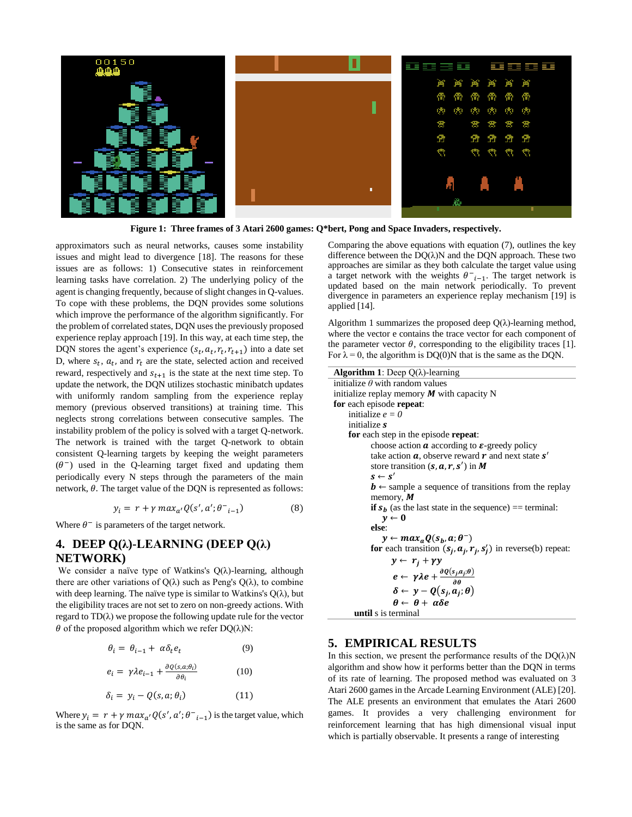

**Figure 1: Three frames of 3 Atari 2600 games: Q\*bert, Pong and Space Invaders, respectively.**

L.

approximators such as neural networks, causes some instability issues and might lead to divergence [18]. The reasons for these issues are as follows: 1) Consecutive states in reinforcement learning tasks have correlation. 2) The underlying policy of the agent is changing frequently, because of slight changes in Q-values. To cope with these problems, the DQN provides some solutions which improve the performance of the algorithm significantly. For the problem of correlated states, DQN uses the previously proposed experience replay approach [19]. In this way, at each time step, the DQN stores the agent's experience  $(s_t, a_t, r_t, r_{t+1})$  into a date set D, where  $s_t$ ,  $a_t$ , and  $r_t$  are the state, selected action and received reward, respectively and  $s_{t+1}$  is the state at the next time step. To update the network, the DQN utilizes stochastic minibatch updates with uniformly random sampling from the experience replay memory (previous observed transitions) at training time. This neglects strong correlations between consecutive samples. The instability problem of the policy is solved with a target Q-network. The network is trained with the target Q-network to obtain consistent Q-learning targets by keeping the weight parameters  $(\theta^-)$  used in the Q-learning target fixed and updating them periodically every N steps through the parameters of the main network,  $\theta$ . The target value of the DQN is represented as follows:

$$
y_i = r + \gamma \, max_{a'} Q(s', a'; \theta^-_{i-1}) \tag{8}
$$

Where  $\theta^-$  is parameters of the target network.

# **4. DEEP Q(λ)-LEARNING (DEEP Q(λ) NETWORK)**

We consider a naïve type of Watkins's  $Q(\lambda)$ -learning, although there are other variations of  $Q(\lambda)$  such as Peng's  $Q(\lambda)$ , to combine with deep learning. The naïve type is similar to Watkins's  $O(\lambda)$ , but the eligibility traces are not set to zero on non-greedy actions. With regard to  $TD(\lambda)$  we propose the following update rule for the vector  $\theta$  of the proposed algorithm which we refer DQ( $\lambda$ )N:

$$
\theta_i = \theta_{i-1} + \alpha \delta_t e_t \tag{9}
$$

$$
e_i = \gamma \lambda e_{i-1} + \frac{\partial q(s, a; \theta_i)}{\partial \theta_i} \tag{10}
$$

$$
\delta_i = y_i - Q(s, a; \theta_i) \tag{11}
$$

Where  $y_i = r + \gamma \, max_{a'} Q(s', a'; \theta^{-1}_{i-1})$  is the target value, which is the same as for DQN.

Comparing the above equations with equation (7), outlines the key difference between the  $DQ(\lambda)N$  and the DQN approach. These two approaches are similar as they both calculate the target value using a target network with the weights  $\theta^-_{i-1}$ . The target network is updated based on the main network periodically. To prevent divergence in parameters an experience replay mechanism [19] is applied [14].

Algorithm 1 summarizes the proposed deep  $Q(\lambda)$ -learning method, where the vector e contains the trace vector for each component of the parameter vector  $\theta$ , corresponding to the eligibility traces [1]. For  $\lambda = 0$ , the algorithm is DQ(0)N that is the same as the DQN.

| <b>Algorithm 1</b> : Deep $Q(\lambda)$ -learning                                       |  |  |  |  |
|----------------------------------------------------------------------------------------|--|--|--|--|
| initialize $\theta$ with random values                                                 |  |  |  |  |
| initialize replay memory $M$ with capacity N                                           |  |  |  |  |
| for each episode repeat:                                                               |  |  |  |  |
| initialize $e = 0$                                                                     |  |  |  |  |
| initialize s                                                                           |  |  |  |  |
| for each step in the episode repeat:                                                   |  |  |  |  |
| choose action $\alpha$ according to $\varepsilon$ -greedy policy                       |  |  |  |  |
| take action $\alpha$ , observe reward $r$ and next state $s'$                          |  |  |  |  |
| store transition $(s, a, r, s')$ in M                                                  |  |  |  |  |
| $s \leftarrow s'$                                                                      |  |  |  |  |
| $\mathbf{b} \leftarrow$ sample a sequence of transitions from the replay               |  |  |  |  |
| memory, $M$                                                                            |  |  |  |  |
| <b>if</b> $s_h$ (as the last state in the sequence) == terminal:                       |  |  |  |  |
| $v \leftarrow 0$                                                                       |  |  |  |  |
| else:                                                                                  |  |  |  |  |
| $y \leftarrow max_a O(s_b, a; \theta^{-})$                                             |  |  |  |  |
| for each transition $(s_j, a_j, r_j, s'_j)$ in reverse(b) repeat:                      |  |  |  |  |
| $y \leftarrow r_i + \gamma y$                                                          |  |  |  |  |
| $e \leftarrow \gamma \lambda e + \frac{\partial Q(s_j, a_j; \theta)}{\partial \theta}$ |  |  |  |  |
| $\delta \leftarrow y - Q(s_i, a_i; \theta)$                                            |  |  |  |  |
| $\theta \leftarrow \theta + \alpha \delta e$                                           |  |  |  |  |
| until s is terminal                                                                    |  |  |  |  |

## **5. EMPIRICAL RESULTS**

In this section, we present the performance results of the  $DQ(\lambda)N$ algorithm and show how it performs better than the DQN in terms of its rate of learning. The proposed method was evaluated on 3 Atari 2600 games in the Arcade Learning Environment (ALE) [20]. The ALE presents an environment that emulates the Atari 2600 games. It provides a very challenging environment for reinforcement learning that has high dimensional visual input which is partially observable. It presents a range of interesting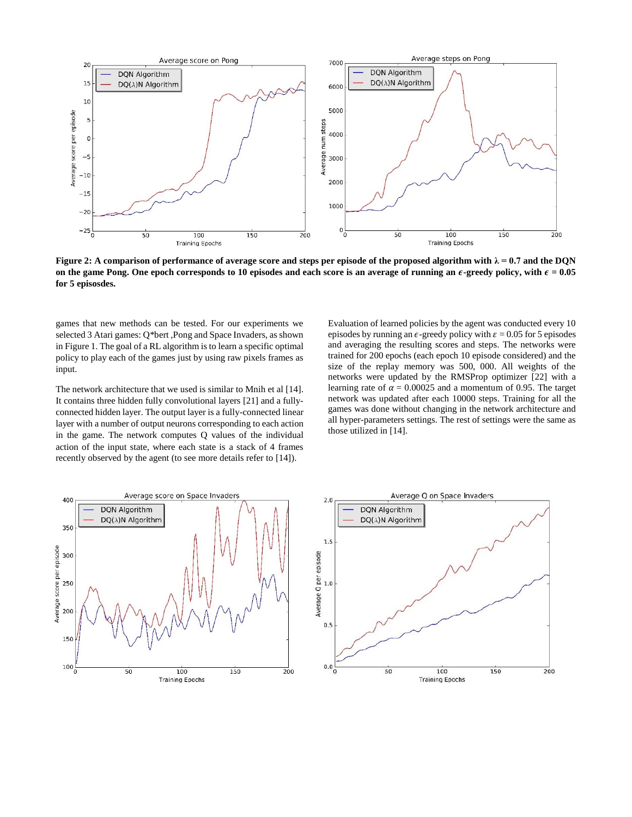

**Figure 2:** A comparison of performance of average score and steps per episode of the proposed algorithm with  $\lambda = 0.7$  and the DQN on the game Pong. One epoch corresponds to 10 episodes and each score is an average of running an  $\epsilon$ -greedy policy, with  $\epsilon = 0.05$ **for 5 episosdes.**

games that new methods can be tested. For our experiments we selected 3 Atari games: Q\*bert ,Pong and Space Invaders, as shown in Figure 1. The goal of a RL algorithm is to learn a specific optimal policy to play each of the games just by using raw pixels frames as input.

The network architecture that we used is similar to Mnih et al [14]. It contains three hidden fully convolutional layers [21] and a fullyconnected hidden layer. The output layer is a fully-connected linear layer with a number of output neurons corresponding to each action in the game. The network computes Q values of the individual action of the input state, where each state is a stack of 4 frames recently observed by the agent (to see more details refer to [14]).

Evaluation of learned policies by the agent was conducted every 10 episodes by running an  $\epsilon$ -greedy policy with  $\epsilon$  = 0.05 for 5 episodes and averaging the resulting scores and steps. The networks were trained for 200 epochs (each epoch 10 episode considered) and the size of the replay memory was 500, 000. All weights of the networks were updated by the RMSProp optimizer [22] with a learning rate of  $\alpha = 0.00025$  and a momentum of 0.95. The target network was updated after each 10000 steps. Training for all the games was done without changing in the network architecture and all hyper-parameters settings. The rest of settings were the same as those utilized in [14].



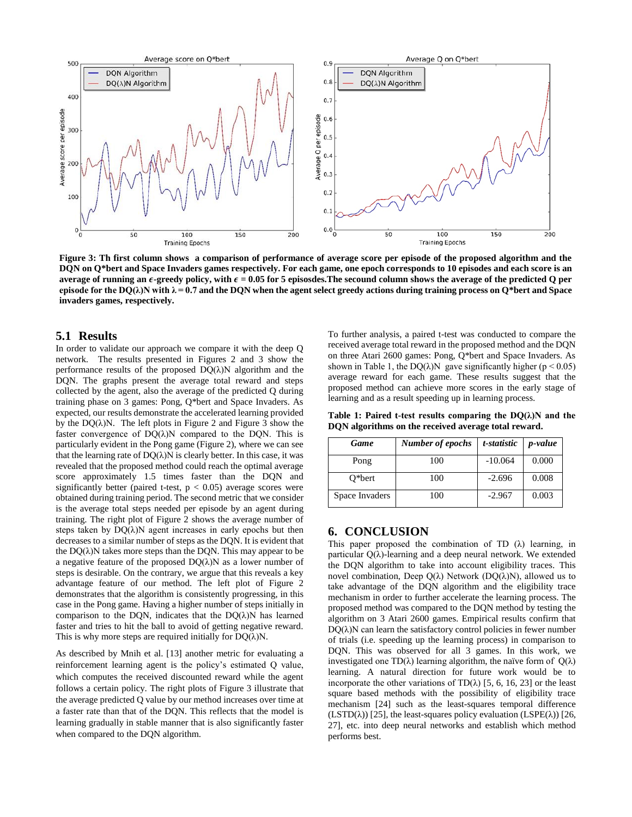

**Figure 3: Th first column shows a comparison of performance of average score per episode of the proposed algorithm and the DQN on Q\*bert and Space Invaders games respectively. For each game, one epoch corresponds to 10 episodes and each score is an average of running an**  $\epsilon$ **-greedy policy, with**  $\epsilon = 0.05$  **for 5 episosdes. The secound column shows the average of the predicted Q per** episode for the  $DQ(\lambda)N$  with  $\lambda = 0.7$  and the DQN when the agent select greedy actions during training process on Q\*bert and Space **invaders games, respectively.**

## **5.1 Results**

In order to validate our approach we compare it with the deep Q network. The results presented in Figures 2 and 3 show the performance results of the proposed  $DQ(\lambda)N$  algorithm and the DQN. The graphs present the average total reward and steps collected by the agent, also the average of the predicted Q during training phase on 3 games: Pong, Q\*bert and Space Invaders. As expected, our results demonstrate the accelerated learning provided by the  $DQ(\lambda)N$ . The left plots in Figure 2 and Figure 3 show the faster convergence of  $DQ(\lambda)N$  compared to the DQN. This is particularly evident in the Pong game (Figure 2), where we can see that the learning rate of  $DO(\lambda)$ N is clearly better. In this case, it was revealed that the proposed method could reach the optimal average score approximately 1.5 times faster than the DQN and significantly better (paired t-test,  $p < 0.05$ ) average scores were obtained during training period. The second metric that we consider is the average total steps needed per episode by an agent during training. The right plot of Figure 2 shows the average number of steps taken by  $DQ(\lambda)N$  agent increases in early epochs but then decreases to a similar number of steps as the DQN. It is evident that the  $DQ(\lambda)N$  takes more steps than the DQN. This may appear to be a negative feature of the proposed  $DQ(\lambda)N$  as a lower number of steps is desirable. On the contrary, we argue that this reveals a key advantage feature of our method. The left plot of Figure 2 demonstrates that the algorithm is consistently progressing, in this case in the Pong game. Having a higher number of steps initially in comparison to the DON, indicates that the  $DO(\lambda)$ N has learned faster and tries to hit the ball to avoid of getting negative reward. This is why more steps are required initially for  $DQ(\lambda)N$ .

As described by Mnih et al. [13] another metric for evaluating a reinforcement learning agent is the policy's estimated Q value, which computes the received discounted reward while the agent follows a certain policy. The right plots of Figure 3 illustrate that the average predicted Q value by our method increases over time at a faster rate than that of the DQN. This reflects that the model is learning gradually in stable manner that is also significantly faster when compared to the DQN algorithm.

To further analysis, a paired t-test was conducted to compare the received average total reward in the proposed method and the DQN on three Atari 2600 games: Pong, Q\*bert and Space Invaders. As shown in Table 1, the DQ( $\lambda$ )N gave significantly higher (p < 0.05) average reward for each game. These results suggest that the proposed method can achieve more scores in the early stage of learning and as a result speeding up in learning process.

**Table 1: Paired t-test results comparing the DQ(λ)N and the DQN algorithms on the received average total reward.**

| <b>Game</b>    | Number of epochs | t-statistic | <i>p</i> -value |
|----------------|------------------|-------------|-----------------|
| Pong           | 100              | $-10.064$   | 0.000           |
| $O^*$ bert     | 100              | $-2.696$    | 0.008           |
| Space Invaders | 100              | $-2.967$    | 0.003           |

## **6. CONCLUSION**

This paper proposed the combination of TD (λ) learning, in particular  $Q(\lambda)$ -learning and a deep neural network. We extended the DQN algorithm to take into account eligibility traces. This novel combination, Deep  $Q(λ)$  Network  $(DQ(λ)N)$ , allowed us to take advantage of the DQN algorithm and the eligibility trace mechanism in order to further accelerate the learning process. The proposed method was compared to the DQN method by testing the algorithm on 3 Atari 2600 games. Empirical results confirm that  $DO(\lambda)$ N can learn the satisfactory control policies in fewer number of trials (i.e. speeding up the learning process) in comparison to DQN. This was observed for all 3 games. In this work, we investigated one TD( $\lambda$ ) learning algorithm, the naïve form of  $Q(\lambda)$ learning. A natural direction for future work would be to incorporate the other variations of  $TD(\lambda)$  [5, 6, 16, 23] or the least square based methods with the possibility of eligibility trace mechanism [24] such as the least-squares temporal difference  $(LSTD(\lambda))$  [25], the least-squares policy evaluation  $(LSPE(\lambda))$  [26, 27], etc. into deep neural networks and establish which method performs best.